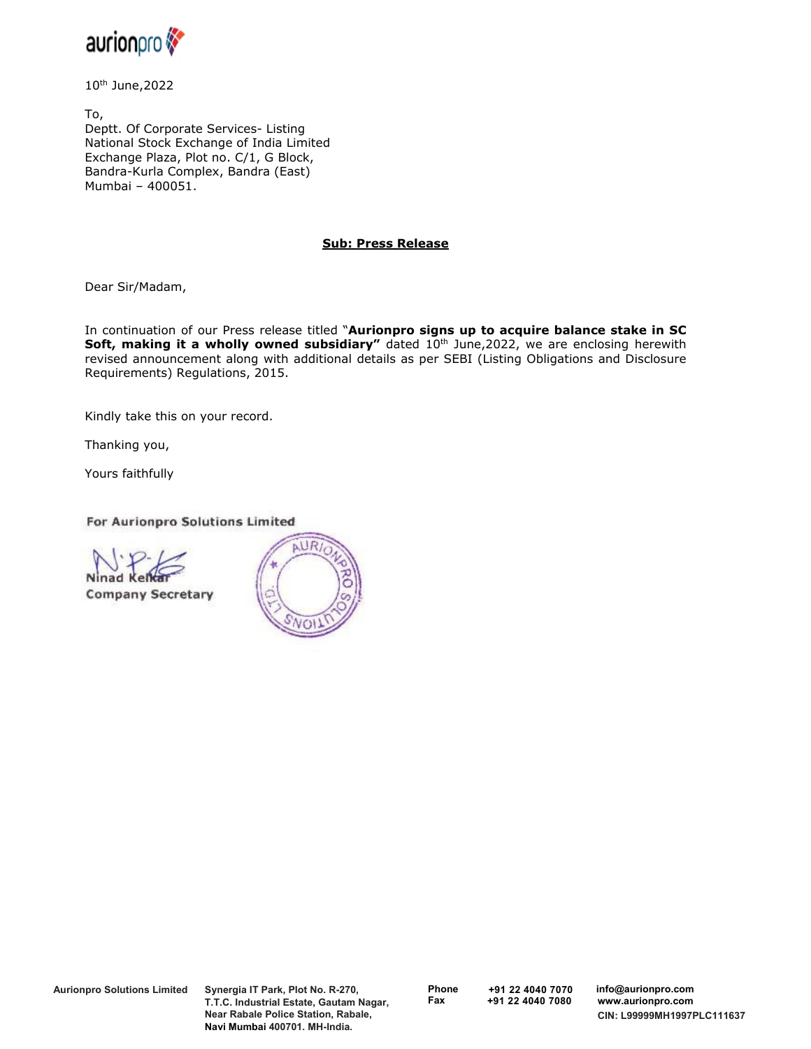

10th June,2022

To, Deptt. Of Corporate Services- Listing National Stock Exchange of India Limited Exchange Plaza, Plot no. C/1, G Block, Bandra-Kurla Complex, Bandra (East) Mumbai – 400051.

## **Sub: Press Release**

Dear Sir/Madam,

In continuation of our Press release titled "**Aurionpro signs up to acquire balance stake in SC Soft, making it a wholly owned subsidiary"** dated 10<sup>th</sup> June,2022, we are enclosing herewith revised announcement along with additional details as per SEBI (Listing Obligations and Disclosure Requirements) Regulations, 2015.

Kindly take this on your record.

Thanking you,

Yours faithfully

For Aurionpro Solutions Limited



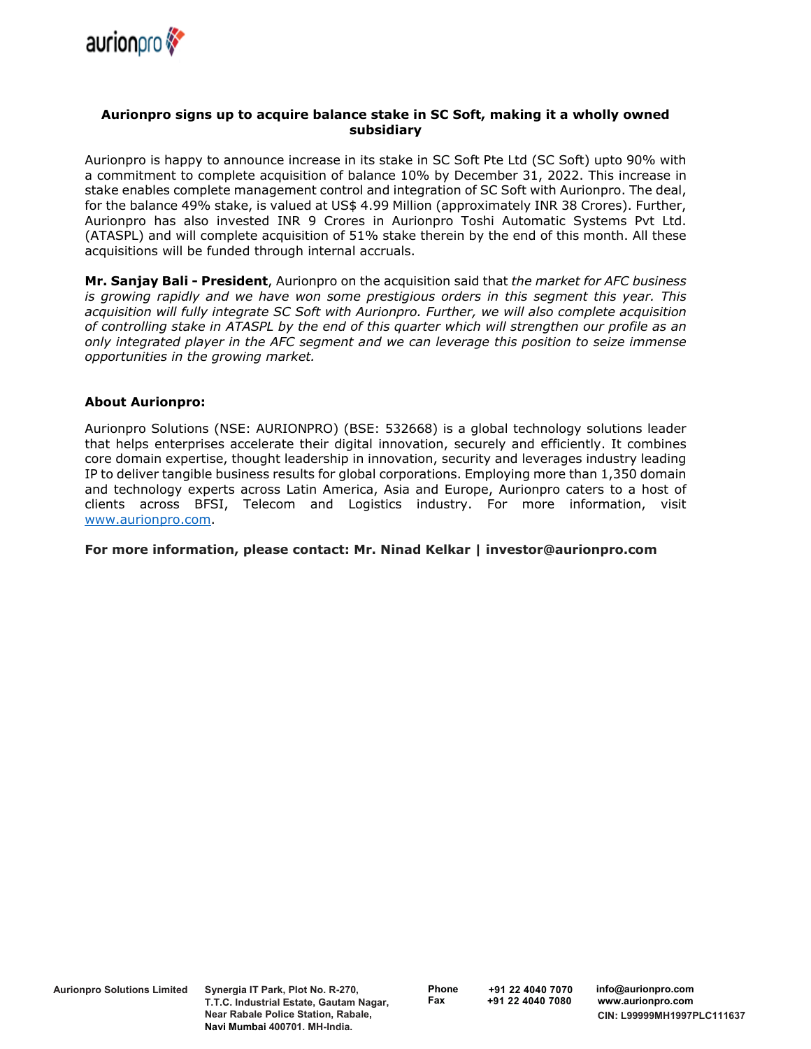

## **Aurionpro signs up to acquire balance stake in SC Soft, making it a wholly owned subsidiary**

Aurionpro is happy to announce increase in its stake in SC Soft Pte Ltd (SC Soft) upto 90% with a commitment to complete acquisition of balance 10% by December 31, 2022. This increase in stake enables complete management control and integration of SC Soft with Aurionpro. The deal, for the balance 49% stake, is valued at US\$ 4.99 Million (approximately INR 38 Crores). Further, Aurionpro has also invested INR 9 Crores in Aurionpro Toshi Automatic Systems Pvt Ltd. (ATASPL) and will complete acquisition of 51% stake therein by the end of this month. All these acquisitions will be funded through internal accruals.

**Mr. Sanjay Bali - President**, Aurionpro on the acquisition said that *the market for AFC business is growing rapidly and we have won some prestigious orders in this segment this year. This acquisition will fully integrate SC Soft with Aurionpro. Further, we will also complete acquisition of controlling stake in ATASPL by the end of this quarter which will strengthen our profile as an only integrated player in the AFC segment and we can leverage this position to seize immense opportunities in the growing market.* 

## **About Aurionpro:**

Aurionpro Solutions (NSE: AURIONPRO) (BSE: 532668) is a global technology solutions leader that helps enterprises accelerate their digital innovation, securely and efficiently. It combines core domain expertise, thought leadership in innovation, security and leverages industry leading IP to deliver tangible business results for global corporations. Employing more than 1,350 domain and technology experts across Latin America, Asia and Europe, Aurionpro caters to a host of clients across BFSI, Telecom and Logistics industry. For more information, visit www.aurionpro.com.

**For more information, please contact: Mr. Ninad Kelkar | investor@aurionpro.com**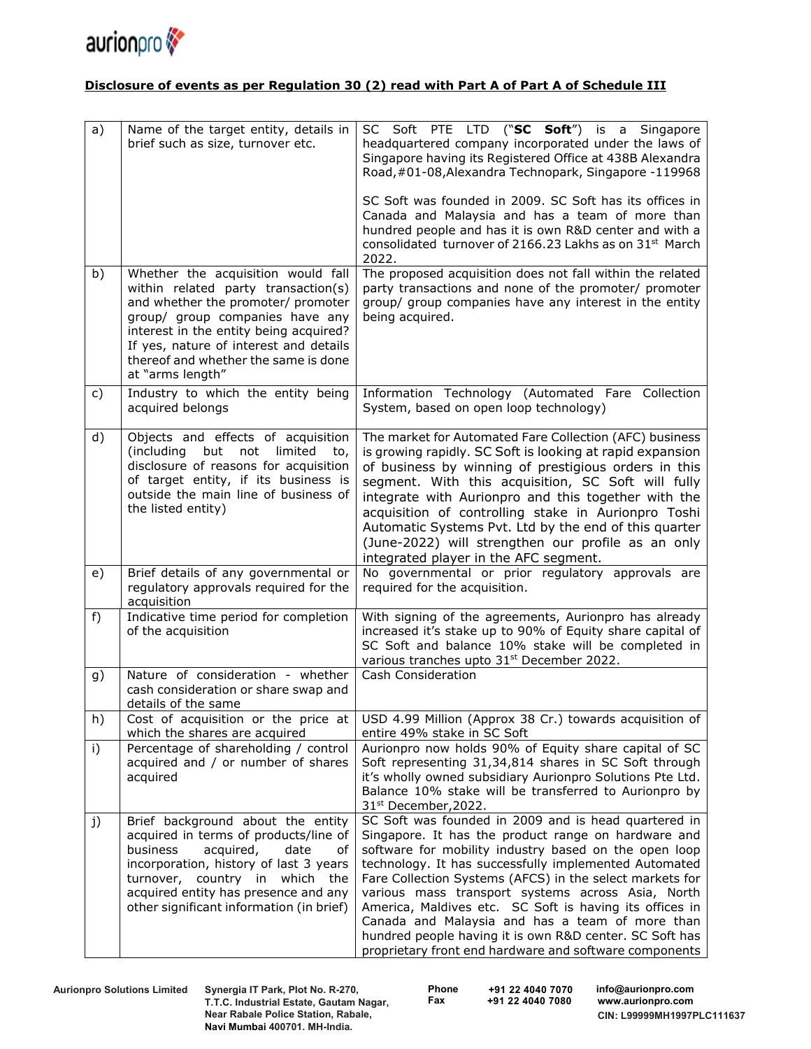

## **Disclosure of events as per Regulation 30 (2) read with Part A of Part A of Schedule III**

| a)            | Name of the target entity, details in<br>brief such as size, turnover etc.                                                                                                                                                                                                                         | SC Soft PTE LTD ("SC Soft") is a Singapore<br>headquartered company incorporated under the laws of<br>Singapore having its Registered Office at 438B Alexandra<br>Road, #01-08, Alexandra Technopark, Singapore -119968                                                                                                                                                                                                                                                                                                                                                           |
|---------------|----------------------------------------------------------------------------------------------------------------------------------------------------------------------------------------------------------------------------------------------------------------------------------------------------|-----------------------------------------------------------------------------------------------------------------------------------------------------------------------------------------------------------------------------------------------------------------------------------------------------------------------------------------------------------------------------------------------------------------------------------------------------------------------------------------------------------------------------------------------------------------------------------|
|               |                                                                                                                                                                                                                                                                                                    | SC Soft was founded in 2009. SC Soft has its offices in<br>Canada and Malaysia and has a team of more than<br>hundred people and has it is own R&D center and with a<br>consolidated turnover of 2166.23 Lakhs as on 31 <sup>st</sup> March<br>2022.                                                                                                                                                                                                                                                                                                                              |
| b)            | Whether the acquisition would fall<br>within related party transaction(s)<br>and whether the promoter/ promoter<br>group/ group companies have any<br>interest in the entity being acquired?<br>If yes, nature of interest and details<br>thereof and whether the same is done<br>at "arms length" | The proposed acquisition does not fall within the related<br>party transactions and none of the promoter/ promoter<br>group/ group companies have any interest in the entity<br>being acquired.                                                                                                                                                                                                                                                                                                                                                                                   |
| $\mathsf{c})$ | Industry to which the entity being<br>acquired belongs                                                                                                                                                                                                                                             | Information Technology (Automated Fare Collection<br>System, based on open loop technology)                                                                                                                                                                                                                                                                                                                                                                                                                                                                                       |
| d)            | Objects and effects of acquisition<br>(including<br>but<br>not<br>limited<br>to,<br>disclosure of reasons for acquisition<br>of target entity, if its business is<br>outside the main line of business of<br>the listed entity)                                                                    | The market for Automated Fare Collection (AFC) business<br>is growing rapidly. SC Soft is looking at rapid expansion<br>of business by winning of prestigious orders in this<br>segment. With this acquisition, SC Soft will fully<br>integrate with Aurionpro and this together with the<br>acquisition of controlling stake in Aurionpro Toshi<br>Automatic Systems Pvt. Ltd by the end of this quarter<br>(June-2022) will strengthen our profile as an only<br>integrated player in the AFC segment.                                                                          |
| e)            | Brief details of any governmental or<br>regulatory approvals required for the<br>acquisition                                                                                                                                                                                                       | No governmental or prior regulatory approvals are<br>required for the acquisition.                                                                                                                                                                                                                                                                                                                                                                                                                                                                                                |
| $f$ )         | Indicative time period for completion<br>of the acquisition                                                                                                                                                                                                                                        | With signing of the agreements, Aurionpro has already<br>increased it's stake up to 90% of Equity share capital of<br>SC Soft and balance 10% stake will be completed in<br>various tranches upto 31 <sup>st</sup> December 2022.                                                                                                                                                                                                                                                                                                                                                 |
| g)            | Nature of consideration - whether<br>cash consideration or share swap and<br>details of the same                                                                                                                                                                                                   | <b>Cash Consideration</b>                                                                                                                                                                                                                                                                                                                                                                                                                                                                                                                                                         |
| h)            | Cost of acquisition or the price at<br>which the shares are acquired                                                                                                                                                                                                                               | USD 4.99 Million (Approx 38 Cr.) towards acquisition of<br>entire 49% stake in SC Soft                                                                                                                                                                                                                                                                                                                                                                                                                                                                                            |
| i)            | Percentage of shareholding / control<br>acquired and / or number of shares<br>acquired                                                                                                                                                                                                             | Aurionpro now holds 90% of Equity share capital of SC<br>Soft representing 31,34,814 shares in SC Soft through<br>it's wholly owned subsidiary Aurionpro Solutions Pte Ltd.<br>Balance 10% stake will be transferred to Aurionpro by<br>31 <sup>st</sup> December, 2022.                                                                                                                                                                                                                                                                                                          |
| j)            | Brief background about the entity<br>acquired in terms of products/line of<br>business<br>acquired,<br>date<br>of<br>incorporation, history of last 3 years<br>turnover, country in which the<br>acquired entity has presence and any<br>other significant information (in brief)                  | SC Soft was founded in 2009 and is head quartered in<br>Singapore. It has the product range on hardware and<br>software for mobility industry based on the open loop<br>technology. It has successfully implemented Automated<br>Fare Collection Systems (AFCS) in the select markets for<br>various mass transport systems across Asia, North<br>America, Maldives etc. SC Soft is having its offices in<br>Canada and Malaysia and has a team of more than<br>hundred people having it is own R&D center. SC Soft has<br>proprietary front end hardware and software components |

**Phone Fax +91 22 4040 7070 +91 22 4040 7080**